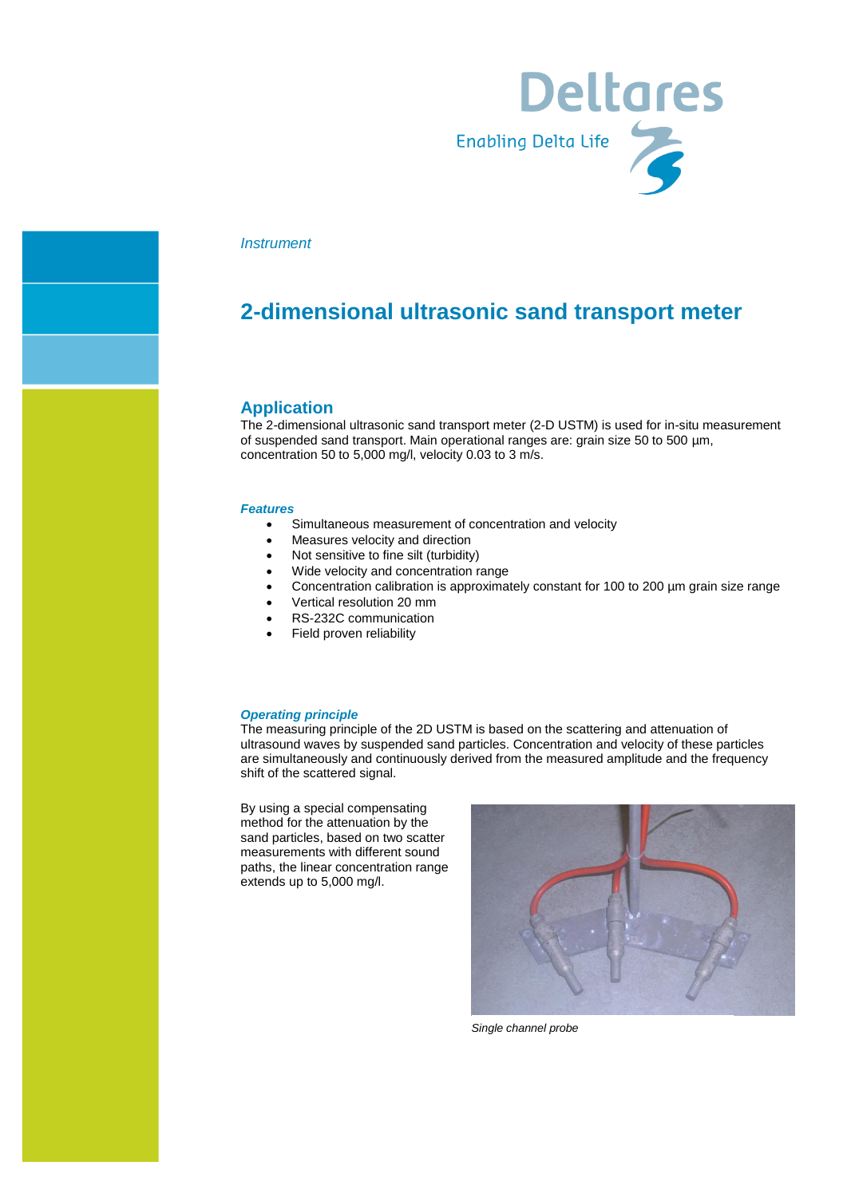

#### *Instrument*

## **2-dimensional ultrasonic sand transport meter**

#### **Application**

The 2-dimensional ultrasonic sand transport meter (2-D USTM) is used for in-situ measurement of suspended sand transport. Main operational ranges are: grain size 50 to 500 µm, concentration 50 to 5,000 mg/l, velocity 0.03 to 3 m/s.

#### *Features*

- Simultaneous measurement of concentration and velocity
- Measures velocity and direction
- Not sensitive to fine silt (turbidity)
- Wide velocity and concentration range
- Concentration calibration is approximately constant for 100 to 200 µm grain size range
- Vertical resolution 20 mm
- RS-232C communication
- Field proven reliability

#### *Operating principle*

The measuring principle of the 2D USTM is based on the scattering and attenuation of ultrasound waves by suspended sand particles. Concentration and velocity of these particles are simultaneously and continuously derived from the measured amplitude and the frequency shift of the scattered signal.

By using a special compensating method for the attenuation by the sand particles, based on two scatter measurements with different sound paths, the linear concentration range extends up to 5,000 mg/l.



*Single channel probe*